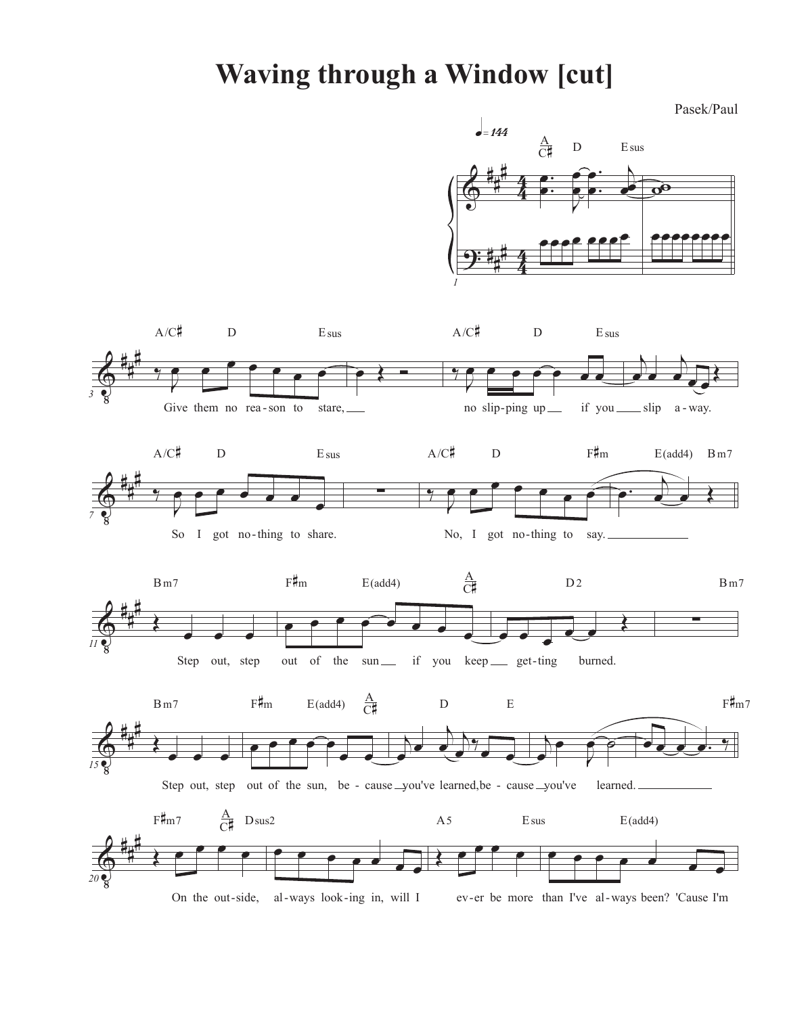## **Waving through a Window [cut]**

Pasek/Paul